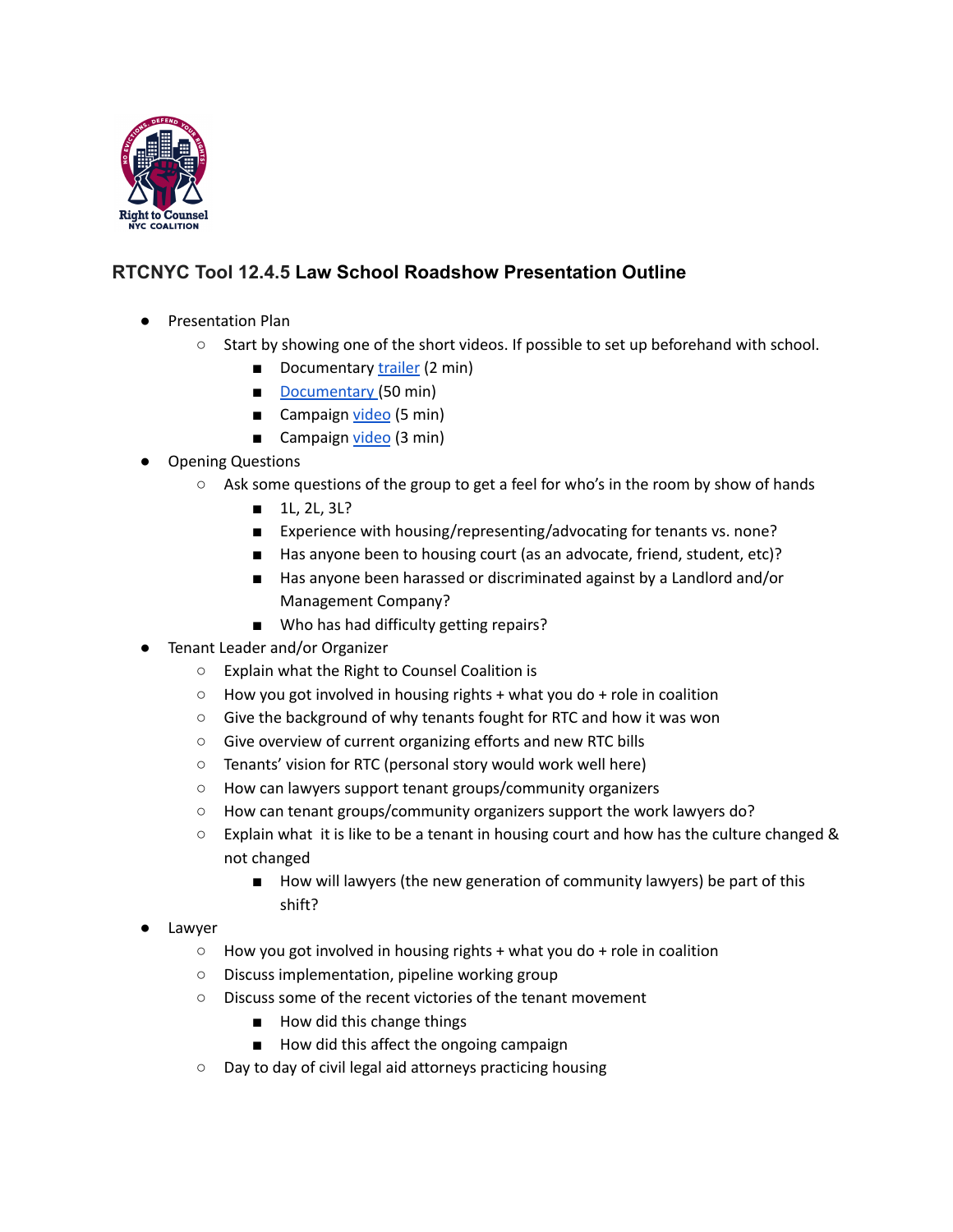

## **RTCNYC Tool 12.4.5 Law School Roadshow Presentation Outline**

- Presentation Plan
	- Start by showing one of the short videos. If possible to set up beforehand with school.
		- Documentary [trailer](https://youtu.be/uiY4WrrA0iU) (2 min)
		- [Documentary](https://vimeo.com/457047852) (50 min)
		- Campaign [video](https://www.youtube.com/watch?v=lrlsSrRCuyg) (5 min)
		- Campaign [video](https://www.youtube.com/watch?v=kXm7pyL32zU&t=6s) (3 min)
- **Opening Questions** 
	- $\circ$  Ask some questions of the group to get a feel for who's in the room by show of hands
		- 1L, 2L, 3L?
		- Experience with housing/representing/advocating for tenants vs. none?
		- Has anyone been to housing court (as an advocate, friend, student, etc)?
		- Has anyone been harassed or discriminated against by a Landlord and/or Management Company?
		- Who has had difficulty getting repairs?
- Tenant Leader and/or Organizer
	- Explain what the Right to Counsel Coalition is
	- $\circ$  How you got involved in housing rights + what you do + role in coalition
	- Give the background of why tenants fought for RTC and how it was won
	- Give overview of current organizing efforts and new RTC bills
	- Tenants' vision for RTC (personal story would work well here)
	- How can lawyers support tenant groups/community organizers
	- How can tenant groups/community organizers support the work lawyers do?
	- $\circ$  Explain what it is like to be a tenant in housing court and how has the culture changed & not changed
		- How will lawyers (the new generation of community lawyers) be part of this shift?
- Lawyer
	- $\circ$  How you got involved in housing rights + what you do + role in coalition
	- Discuss implementation, pipeline working group
	- Discuss some of the recent victories of the tenant movement
		- How did this change things
		- How did this affect the ongoing campaign
	- Day to day of civil legal aid attorneys practicing housing